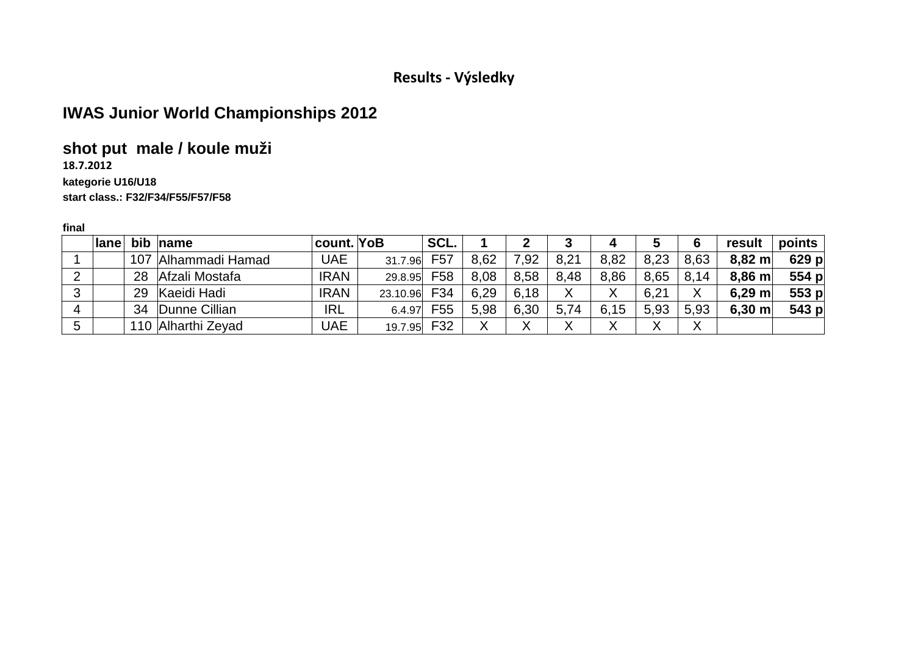# **IWAS Junior World Championships 2012**

# **shot put male / koule muži**

#### **18.7.2012**

#### **kategorie U16/U18**

#### **start class.: F32/F34/F55/F57/F58**

| <b>lane</b> |    | bib name            | <b>ˈcount.</b> ∣YoB |          | SCL. |      |      |      | 4    | 5      | 6                 | result             | points    |
|-------------|----|---------------------|---------------------|----------|------|------|------|------|------|--------|-------------------|--------------------|-----------|
|             |    | 107 Alhammadi Hamad | <b>UAE</b>          | 31.7.96  | F57  | 8,62 | ,92  | 8,21 | 8,82 | 8,23   | 8,63              | $8,82 \text{ m}$   | $629$ p   |
|             | 28 | Afzali Mostafa      | <b>IRAN</b>         | 29.8.95  | F58  | 8,08 | 8.58 | 8,48 | 8,86 | 8,65   | 8,14              | $8,86$ m           | 554 p     |
|             | 29 | Kaeidi Hadi         | <b>IRAN</b>         | 23.10.96 | F34  | 6,29 | 6.18 |      | Χ    | 6,21   | Χ                 | $6,29 \; m$        | 553 $p$   |
|             | 34 | Dunne Cillian       | <b>IRL</b>          | 6.4.97   | F55  | 5,98 | 6,30 | 5,74 | 6,15 | 5,93   | 5,93              | $6,30 \; \text{m}$ | 543 $ p $ |
|             |    | 110 Alharthi Zeyad  | UAE                 | 19.7.95  | F32  |      | v    |      |      | v<br>∧ | $\checkmark$<br>∧ |                    |           |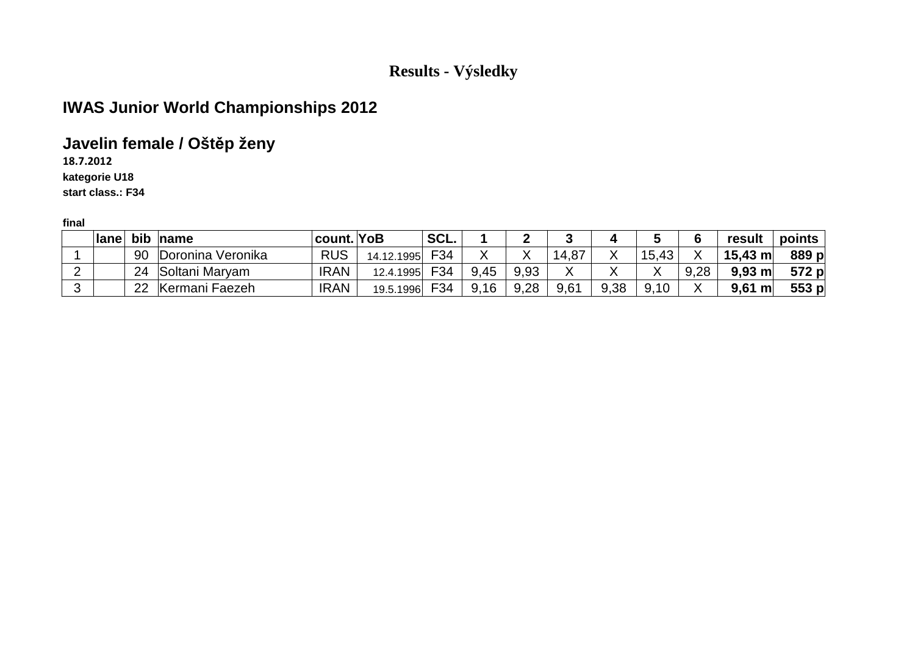# **IWAS Junior World Championships 2012**

# **Javelin female / Oštěp ženy**

**18.7.2012**

**kategorie U18**

**start class.: F34**

|   | Iane | bib | name              | count. YoB  |            | SCL. |      |      |       |      |        |      | result             | points |
|---|------|-----|-------------------|-------------|------------|------|------|------|-------|------|--------|------|--------------------|--------|
|   |      | 90  | Doronina Veronika | <b>RUS</b>  | 14.12.1995 | F34  |      |      | 14,87 |      | 15,43  |      | $15,43 \; m$       | 889 p  |
|   |      | 24  | Soltani Maryam    | <b>IRAN</b> | 12.4.1995  | F34  | 9,45 | 9,93 |       |      | v<br>Λ | 9,28 | 9.93 m             | 572 p  |
| ◠ |      | 22  | Kermani Faezeh    | <b>IRAN</b> | 19.5.1996  | F34  | 9,16 | 9,28 | 9,61  | 9,38 | 9,10   |      | $9,61 \; \text{m}$ | 553 p  |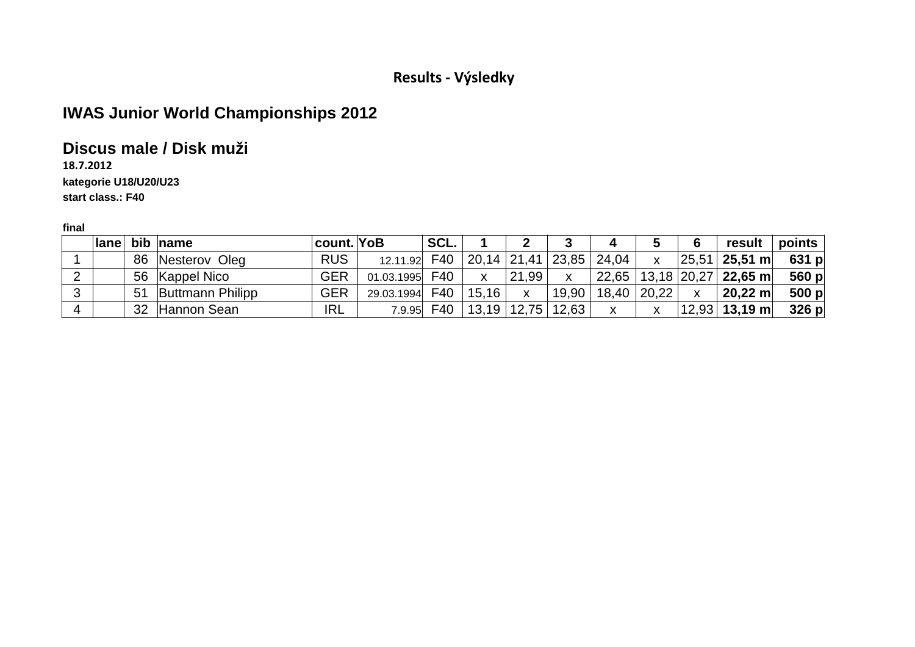# **IWAS Junior World Championships 2012**

## **Discus male / Disk muži**

**18.7.2012**

#### **kategorie U18/U20/U23**

**start class.: F40**

|   |  | Iane bib name       | count. YoB |                                              | SCL. |              |       |                                                                 | 4             | 5            | 6            | result $ $ points $ $         |         |
|---|--|---------------------|------------|----------------------------------------------|------|--------------|-------|-----------------------------------------------------------------|---------------|--------------|--------------|-------------------------------|---------|
|   |  | 86 Nesterov Oleg    | <b>RUS</b> | 12.11.92 F40   20,14   21,41   23,85   24,04 |      |              |       |                                                                 |               | $\mathbf{x}$ |              | $ 25,51 $ 25,51 m             | 631 p   |
|   |  | 56 Kappel Nico      | <b>GER</b> | 01.03.1995 $\mid$ F40 $\mid$                 |      | $\mathsf{X}$ | 21,99 | $\mathsf{X}$                                                    |               |              |              | 22,65 $ 13,18 20,27 $ 22,65 m | 560 p   |
|   |  | 51 Buttmann Philipp | <b>GER</b> | 29.03.1994 $F40$   15,16                     |      |              | X     |                                                                 | 19,90   18,40 | 20,22        | $\mathsf{X}$ | $\vert$ 20,22 m $\vert$       | 500 $p$ |
| 4 |  | 32 Hannon Sean      | <b>IRL</b> |                                              |      |              |       | 7.9.95 $\mid$ F40 $\mid$ 13,19 $\mid$ 12,75 $\mid$ 12,63 $\mid$ | $\mathsf{X}$  | X            |              | $ 12,93 $ 13,19 m $ $         | 326 p   |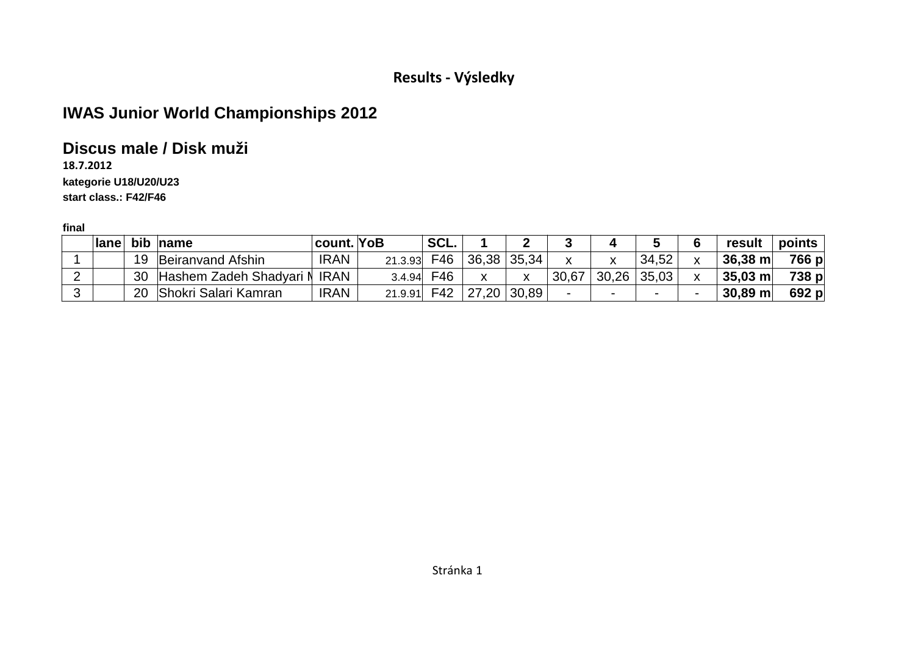# **IWAS Junior World Championships 2012**

## **Discus male / Disk muži**

#### **18.7.2012kategorie U18/U20/U23**

**start class.: F42/F46**

|                         |    | <b>Iane bib name</b>         | count. YoB  |         | ˈSCL. |               |       |                          |       | 5     |   | result            | points |
|-------------------------|----|------------------------------|-------------|---------|-------|---------------|-------|--------------------------|-------|-------|---|-------------------|--------|
|                         | 19 | Beiranvand Afshin            | <b>IRAN</b> | 21.3.93 | F46   | $36,38$ 35,34 |       |                          |       | 34,52 | x | $36,38 \text{ m}$ | 766 p  |
|                         | 30 | Hashem Zadeh Shadyari N IRAN |             | 3.4.94  | F46.  |               | v     | 30,67                    | 30,26 | 35,03 |   | $35,03 \text{ m}$ | 738 p  |
| $\overline{\mathbf{3}}$ | 20 | Shokri Salari Kamran         | <b>IRAN</b> | 21.9.91 | F42   | 27,20         | 30,89 | $\overline{\phantom{0}}$ |       |       | - | $30,89$ m         | 692 p  |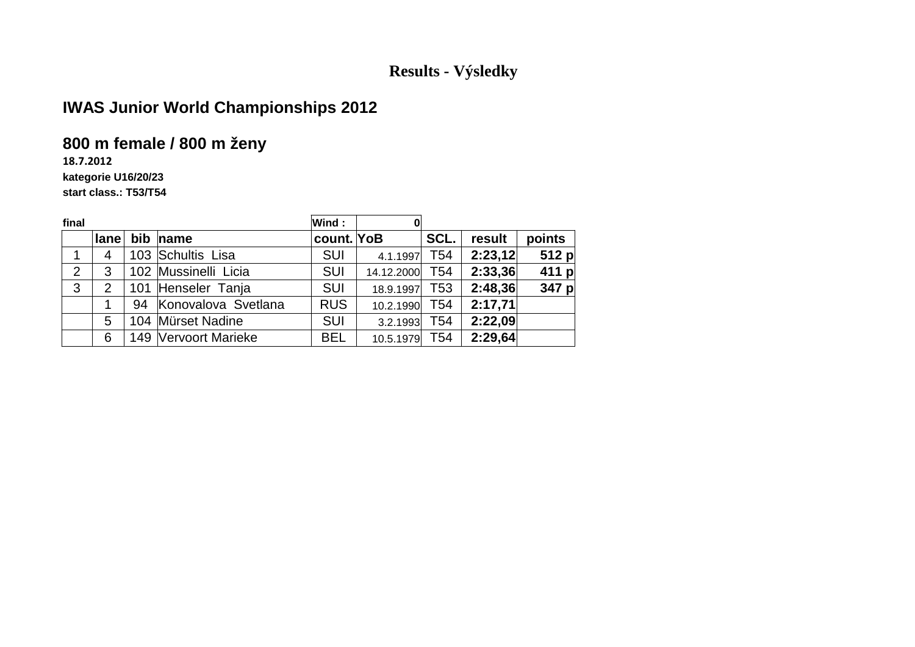# **IWAS Junior World Championships 2012**

# **800 m female / 800 m ženy**

**18.7.2012**

#### **kategorie U16/20/23**

**start class.: T53/T54**

| final          |                |                        | Wind:      | 0          |                 |         |         |
|----------------|----------------|------------------------|------------|------------|-----------------|---------|---------|
|                | lane           | bib name               | count. YoB |            | SCL.            | result  | points  |
| 1              | 4              | 103 Schultis Lisa      | <b>SUI</b> | 4.1.1997   | T54             | 2:23,12 | 512 p   |
| $\overline{2}$ | 3              | 102 Mussinelli Licia   | <b>SUI</b> | 14.12.2000 | T54             | 2:33,36 | 411 $p$ |
| 3              | $\overline{2}$ | 101 Henseler Tanja     | <b>SUI</b> | 18.9.1997  | T <sub>53</sub> | 2:48,36 | 347 $p$ |
|                |                | 94 Konovalova Svetlana | <b>RUS</b> | 10.2.1990  | T <sub>54</sub> | 2:17,71 |         |
|                | 5              | 104 Mürset Nadine      | <b>SUI</b> | 3.2.1993   | T54             | 2:22,09 |         |
|                | 6              | 149 Vervoort Marieke   | <b>BEL</b> | 10.5.1979  | T54             | 2:29,64 |         |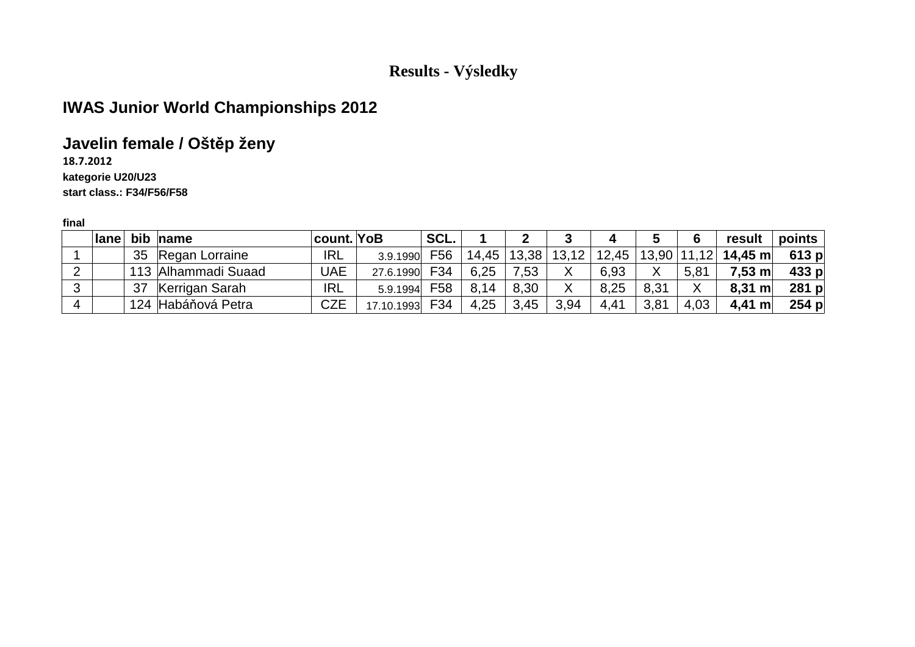# **IWAS Junior World Championships 2012**

# **Javelin female / Oštěp ženy**

**18.7.2012**

**kategorie U20/U23**

**start class.: F34/F56/F58**

|   | lane |    | bib name            | count. YoB |            | SCL. |       |       |       |       |       | 6                 | result            | $points \mid$ |
|---|------|----|---------------------|------------|------------|------|-------|-------|-------|-------|-------|-------------------|-------------------|---------------|
|   |      | 35 | Regan Lorraine      | <b>IRL</b> | 3.9.1990   | F56  | 14,45 | 13,38 | 13,12 | 12,45 | 13,90 |                   | $ 11,12 $ 14,45 m | $613$ p       |
|   |      |    | 113 Alhammadi Suaad | UAE        | 27.6.1990  | F34  | 6,25  | ,53   |       | 6,93  | Χ     | 5,81              | 7,53 ml           | $433$ p       |
| ົ |      | 37 | Kerrigan Sarah      | <b>IRL</b> | 5.9.1994   | F58  | 8,14  | 8,30  |       | 8,25  | 8,31  | $\checkmark$<br>∧ | $8,31 \; m$       | $281$ p       |
|   |      |    | 124 Habáňová Petra  | <b>CZE</b> | 17.10.1993 | F34  | 4,25  | 3,45  | 3,94  | 4,41  | 3,81  | 4,03              | $4,41 \; m$       | $254$ p       |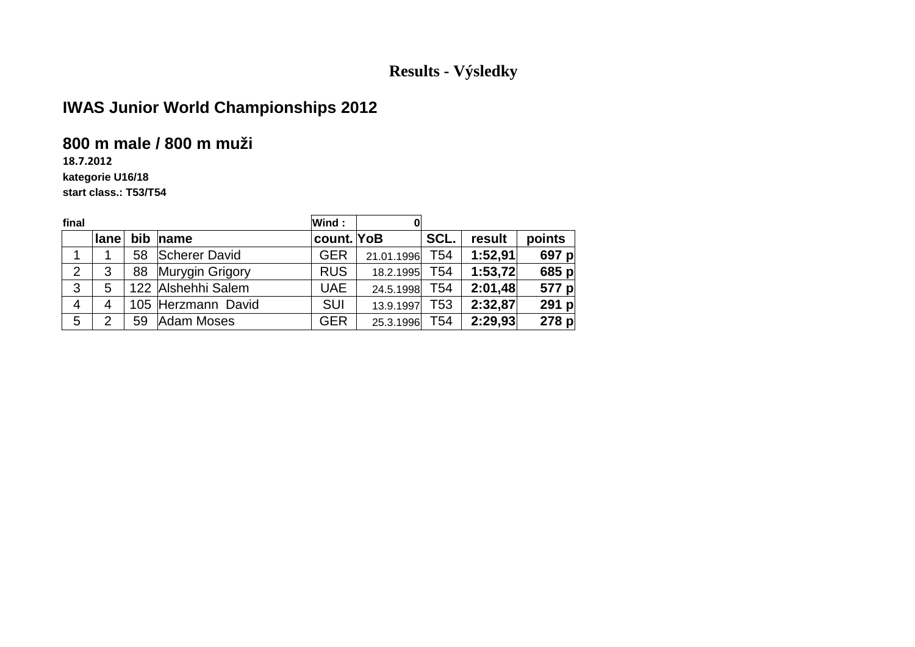# **IWAS Junior World Championships 2012**

#### **800 m male / 800 m muži**

**18.7.2012**

#### **kategorie U16/18**

**start class.: T53/T54**

| final          |                |    |                    | Wind:      |            |                 |         |         |
|----------------|----------------|----|--------------------|------------|------------|-----------------|---------|---------|
|                | lane           |    | bib name           | count. YoB |            | SCL.            | result  | points  |
|                |                | 58 | Scherer David      | <b>GER</b> | 21.01.1996 | T54             | 1:52,91 | 697 p   |
| $\overline{2}$ | 3              | 88 | Murygin Grigory    | <b>RUS</b> | 18.2.1995  | T54             | 1:53,72 | 685 p   |
| 3              | 5              |    | 122 Alshehhi Salem | <b>UAE</b> | 24.5.1998  | T54             | 2:01,48 | 577 p   |
| $\overline{4}$ | $\overline{4}$ |    | 105 Herzmann David | <b>SUI</b> | 13.9.1997  | T53             | 2:32,87 | 291 $p$ |
| 5              | 2              | 59 | Adam Moses         | <b>GER</b> | 25.3.1996  | T <sub>54</sub> | 2:29,93 | 278 p   |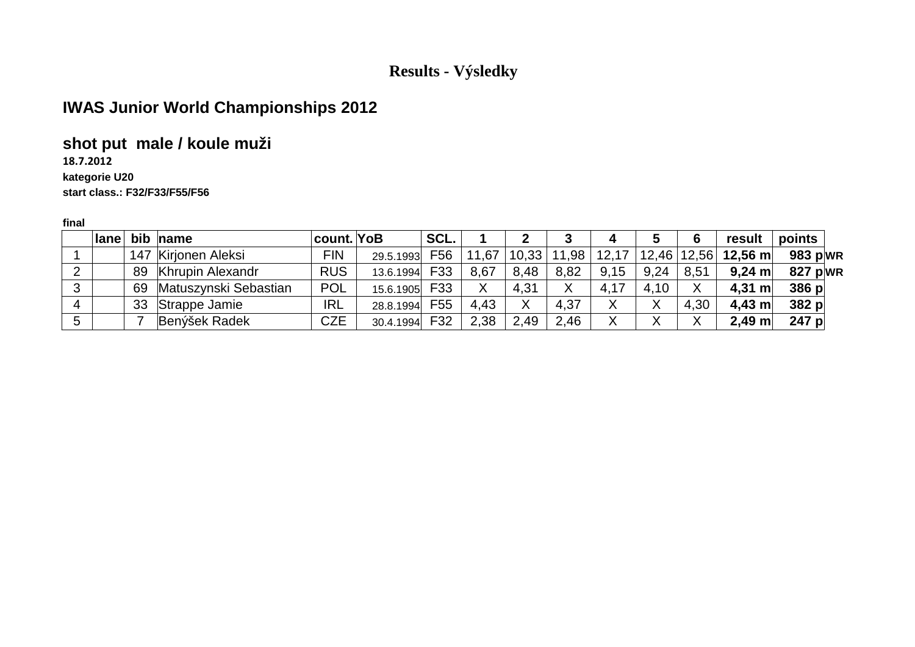# **IWAS Junior World Championships 2012**

## **shot put male / koule muži**

**18.7.2012**

#### **kategorie U20**

**start class.: F32/F33/F55/F56**

| <b>lane</b> |    | $bib$ name              | <b>count.</b> YoB |           | SCL. |       |       |       | 4     |      |               | result           | points     |  |
|-------------|----|-------------------------|-------------------|-----------|------|-------|-------|-------|-------|------|---------------|------------------|------------|--|
|             |    | 147 Kirjonen Aleksi     | FIN               | 29.5.1993 | F56  | 11,67 | 10,33 | 11,98 | 12,17 |      | 12,46   12,56 | 12,56 m          | 983 $p WR$ |  |
|             | 89 | <b>Khrupin Alexandr</b> | <b>RUS</b>        | 13.6.1994 | F33  | 8,67  | 8,48  | 8,82  | 9,15  | 9,24 | 8,51          | $9,24$ m         | 827 $p WR$ |  |
|             | 69 | Matuszynski Sebastian   | <b>POL</b>        | 15.6.1905 | F33  | Χ     | 4,31  | X     | 4,17  | 4.10 |               | $4,31 \text{ m}$ | 386 p      |  |
|             | 33 | Strappe Jamie           | <b>IRL</b>        | 28.8.1994 | F55  | 4,43  | Χ     | 4,37  |       |      | 4,30          | $4.43$ m         | 382 p      |  |
|             |    | Benýšek Radek           | <b>CZE</b>        | 30.4.1994 | F32  | 2,38  | 2,49  | 2.46  |       |      | ↗             | $2,49$ m         | $247$ p    |  |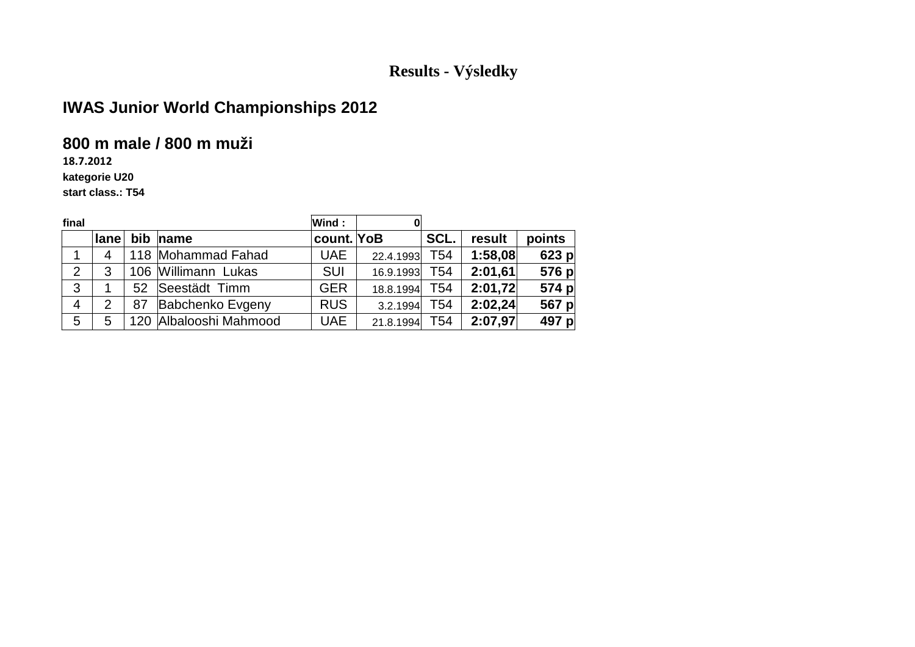# **IWAS Junior World Championships 2012**

#### **800 m male / 800 m muži**

**18.7.2012**

**kategorie U20**

**start class.: T54**

| final          |      |    |                        | Wind:      |           |      |         |         |
|----------------|------|----|------------------------|------------|-----------|------|---------|---------|
|                | lane |    | bib name               | count. YoB |           | SCL. | result  | points  |
|                | 4    |    | 118 Mohammad Fahad     | <b>UAE</b> | 22.4.1993 | T54  | 1:58,08 | $623$ p |
| $\overline{2}$ | 3    |    | 106 Willimann Lukas    | <b>SUI</b> | 16.9.1993 | T54  | 2:01,61 | 576 p   |
| 3              |      | 52 | Seestädt Timm          | <b>GER</b> | 18.8.1994 | T54  | 2:01,72 | 574 p   |
| 4              | 2    | 87 | Babchenko Evgeny       | <b>RUS</b> | 3.2.1994  | T54  | 2:02,24 | 567 p   |
| 5              | 5    |    | 120 Albalooshi Mahmood | <b>UAE</b> | 21.8.1994 | T54  | 2:07,97 | 497 p   |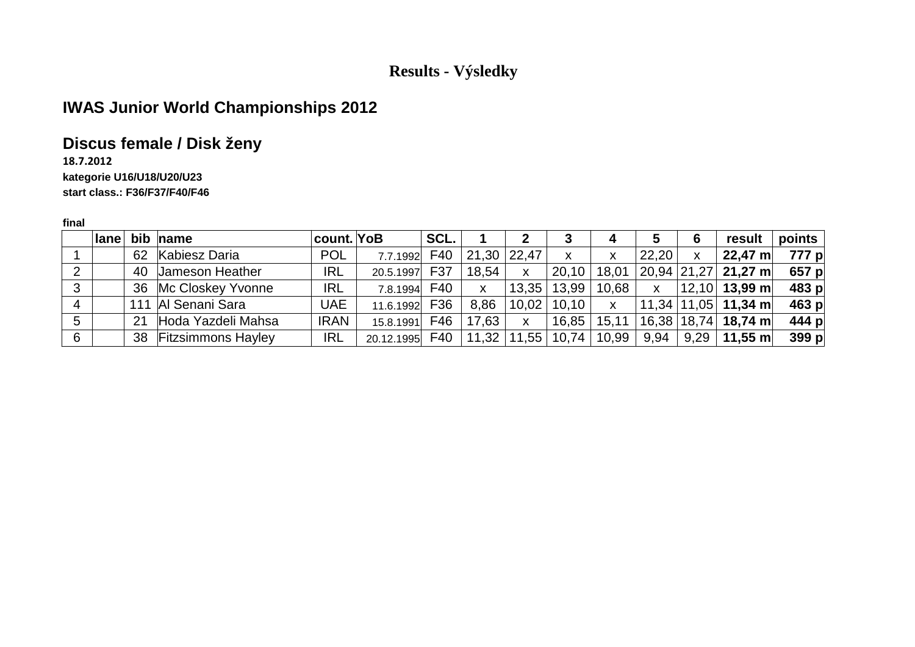# **IWAS Junior World Championships 2012**

## **Discus female / Disk ženy**

#### **18.7.2012 kategorie U16/U18/U20/U23start class.: F36/F37/F40/F46**

|   | $ $ lane |    | bib name              | count. YoB  |                     | SCL. |                 |              | 3                                             | 4            | 5            | 6 | result                                              | points  |
|---|----------|----|-----------------------|-------------|---------------------|------|-----------------|--------------|-----------------------------------------------|--------------|--------------|---|-----------------------------------------------------|---------|
|   |          | 62 | Kabiesz Daria         | <b>POL</b>  | 7.7.1992 F40        |      | $21,30$ $22,47$ |              | X                                             | X            | 22,20        | X | $22,47 \text{ m}$                                   | 777 pl  |
|   |          |    | 40 Jameson Heather    | <b>IRL</b>  | 20.5.1997           | F37  | 18,54           | $\mathsf{x}$ | 20,10                                         | 18,01        |              |   | 20,94   21,27   21,27 m                             | 657 p   |
| 3 |          |    | 36 Mc Closkey Yvonne  | <b>IRL</b>  | 7.8.1994 <b>F40</b> |      | X               | 13.35        | 13,99                                         | 10,68        | $\mathsf{x}$ |   | $12,10$ 13,99 m                                     | 483 p   |
| 4 |          |    | 111 Al Senani Sara    | <b>UAE</b>  | 11.6.1992           | F36  | 8,86            |              | $10,02$   10,10                               | $\mathsf{X}$ |              |   | $\vert$ 11,34 $\vert$ 11,05 $\vert$ 11,34 m $\vert$ | $463$ p |
| 5 |          | 21 | Hoda Yazdeli Mahsa    | <b>IRAN</b> | 15.8.1991           | F46  | 17,63           | $\mathsf{x}$ | 16,85                                         | 15,11        |              |   | $16,38$   18,74   <b>18,74 m</b>                    | 444 p   |
| 6 |          |    | 38 Fitzsimmons Hayley | <b>IRL</b>  | 20.12.1995 F40      |      |                 |              | $\mid$ 11,32 $\mid$ 11,55 $\mid$ 10,74 $\mid$ | 10,99        | 9,94         |   | $9,29$   11,55 m                                    | 399 p   |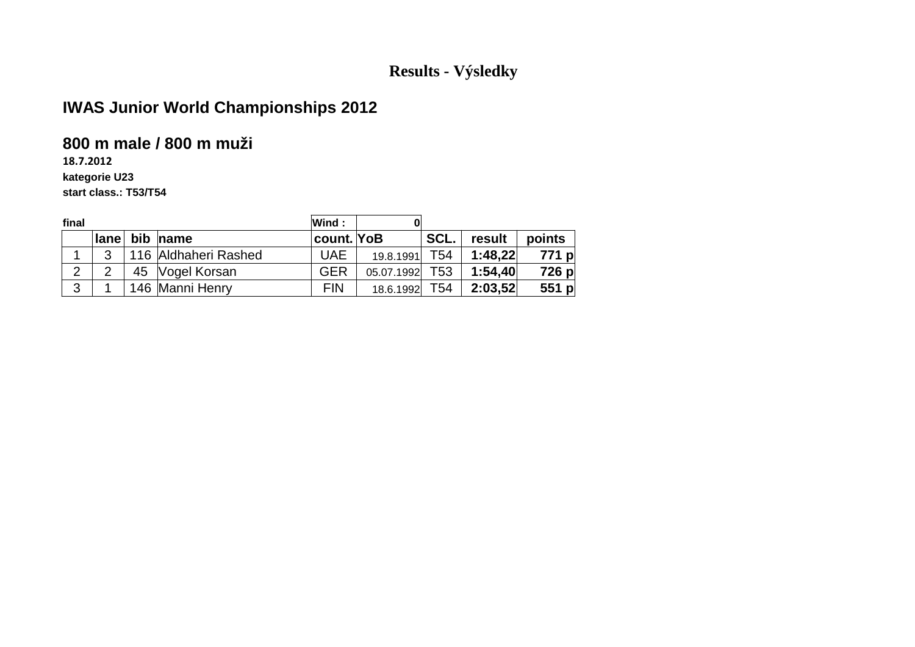# **IWAS Junior World Championships 2012**

#### **800 m male / 800 m muži**

**18.7.2012**

**kategorie U23**

**start class.: T53/T54**

| final |      |    |                      | Wind:      | 0          |                 |         |         |
|-------|------|----|----------------------|------------|------------|-----------------|---------|---------|
|       | lane |    | bib name             | count. YoB |            | SCL.            | result  | points  |
|       | 2    |    | 116 Aldhaheri Rashed | <b>UAE</b> | 19.8.1991  | T54             | 1:48,22 | 771 pl  |
| 2     |      | 45 | Vogel Korsan         | <b>GER</b> | 05.07.1992 | T <sub>53</sub> | 1:54,40 | 726 p   |
| 3     |      |    | 146 Manni Henry      | <b>FIN</b> | 18.6.1992  | T54             | 2:03,52 | 551 $p$ |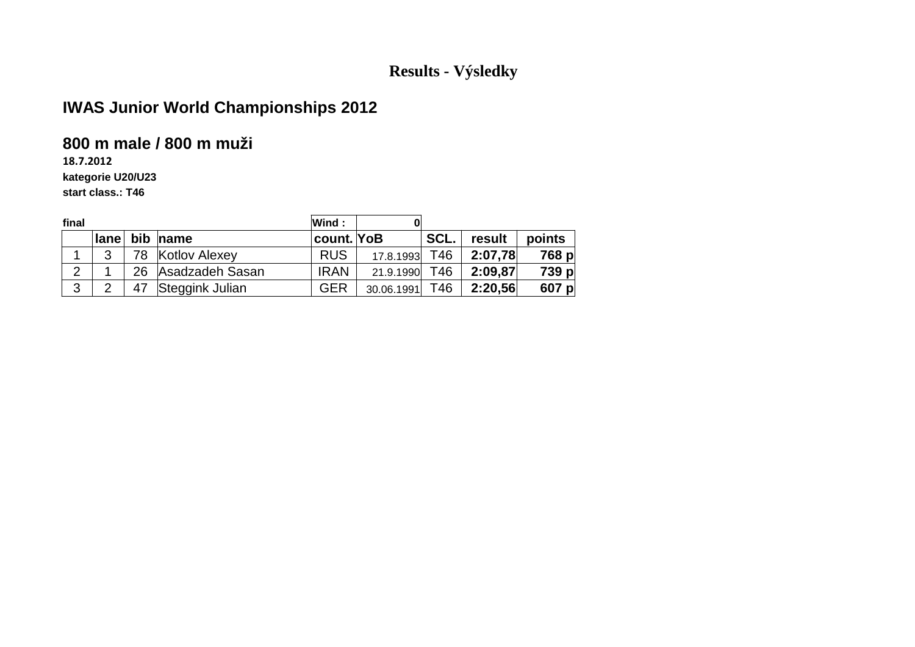# **IWAS Junior World Championships 2012**

#### **800 m male / 800 m muži**

**18.7.2012**

**kategorie U20/U23**

**start class.: T46**

| final          |      |     |                 | Wind:       |            |      |         |        |
|----------------|------|-----|-----------------|-------------|------------|------|---------|--------|
|                | lane |     | bib name        | count. YoB  |            | SCL. | result  | points |
|                | າ    | 78. | Kotlov Alexey   | <b>RUS</b>  | 17.8.1993  | T46  | 2:07.78 | 768 p  |
| $\overline{2}$ |      | 26  | Asadzadeh Sasan | <b>IRAN</b> | 21.9.1990  | T46  | 2:09,87 | 739 p  |
| 3              | ⌒    | 47  | Steggink Julian | <b>GER</b>  | 30.06.1991 | T46  | 2:20,56 | 607 p  |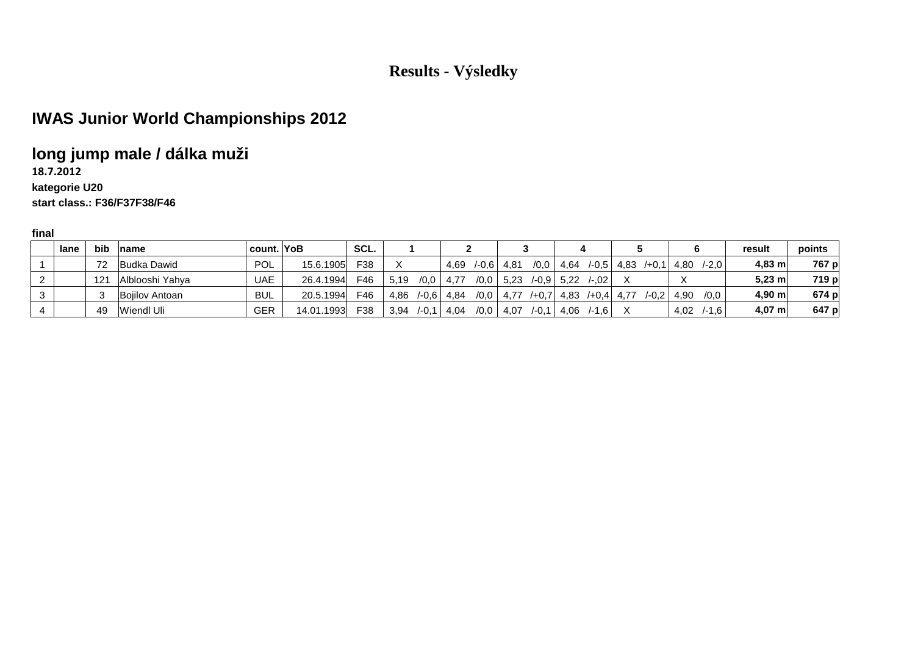# **IWAS Junior World Championships 2012**

## **long jump male / dálka muži**

**18.7.2012kategorie U20**

#### **start class.: F36/F37F38/F46**

|          | lane | bib | <b>name</b>     | count.     | YoB        | SCL. |      |          |      |        |      |          |      |                |      |          |      |          | result   | points |
|----------|------|-----|-----------------|------------|------------|------|------|----------|------|--------|------|----------|------|----------------|------|----------|------|----------|----------|--------|
|          |      | 72  | Budka Dawid     | <b>POL</b> | 15.6.1905  | F38  |      |          | 4.69 | $-0.6$ | 4,81 | /0,0     | 4,64 | $/ -0.5$       | 4,83 | $/+0.1$  | 4,80 | /-2.0    | $4.83$ m | 767 p  |
| <u>_</u> |      | 121 | Alblooshi Yahya | <b>UAE</b> | 26.4.1994  | F46  | 5.19 | /0,0     | 4,77 | /0,0   | 5,23 | $/ -0.9$ | 5,22 | $/-02$         |      |          |      |          | $5,23$ m | 719 p  |
| 3        |      |     | Bojilov Antoan  | <b>BUL</b> | 20.5.1994  | F46  | 4,86 | $/ -0.6$ | 4,84 | /0.0   | 4.77 | $/ +0.7$ | 4,83 | $/ +0.4$ 4.77. |      | $/ -0.2$ | 4.90 | /0,0     | $4.90$ m | 674 p  |
| 4        |      | 49  | Wiendl Uli      | <b>GER</b> | 14.01.1993 | F38  | 3,94 | $/-0,1$  | 4,04 | /0,0   | 4,07 | $/-0.1$  | 4,06 | $/ -1.6$       |      |          | 4,02 | $/ -1.6$ | $4,07$ m | 647 p  |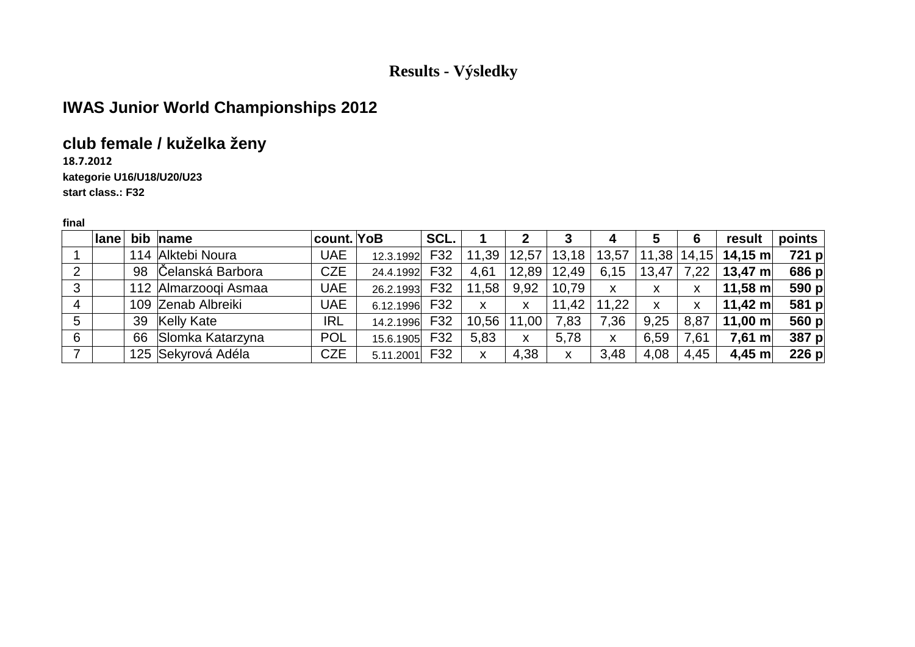# **IWAS Junior World Championships 2012**

## **club female / kuželka ženy**

**18.7.2012**

**kategorie U16/U18/U20/U23**

**start class.: F32**

| $-$ |  |
|-----|--|

|   | ∣lane⊺ | bib name             | count. YoB |           | SCL. |       |       |       | 4            | 5                         | 6    | result             | points |
|---|--------|----------------------|------------|-----------|------|-------|-------|-------|--------------|---------------------------|------|--------------------|--------|
|   |        | 114 Alktebi Noura    | <b>UAE</b> | 12.3.1992 | F32  | 11,39 | 12,57 | 13,18 | 13,57        | 11,38                     |      | $ 14,15 $ 14,15 m  | 721 p  |
| 2 |        | 98 Čelanská Barbora  | <b>CZE</b> | 24.4.1992 | F32  | 4,61  | 12,89 | 12,49 | 6,15         | 13,47                     | 7,22 | 13,47 $m$          | 686 p  |
| 3 |        | 112 Almarzoogi Asmaa | <b>UAE</b> | 26.2.1993 | F32  | 11,58 | 9,92  | 10,79 | $\mathsf{x}$ | X                         | X    | 11,58 m            | 590 p  |
| 4 |        | 109 Zenab Albreiki   | <b>UAE</b> | 6.12.1996 | F32  | X     | X     | 11,42 | 11,22        | $\boldsymbol{\mathsf{X}}$ | X    | 11,42 m            | 581 p  |
| 5 |        | 39 Kelly Kate        | <b>IRL</b> | 14.2.1996 | F32  | 10,56 | 11,00 | 7,83  | 7,36         | 9,25                      | 8,87 | 11,00 m            | 560 p  |
| 6 |        | 66 Slomka Katarzyna  | <b>POL</b> | 15.6.1905 | F32  | 5,83  | X     | 5,78  | X            | 6,59                      | 7,61 | $7,61 \, \text{m}$ | 387 p  |
|   |        | 125 Sekyrová Adéla   | <b>CZE</b> | 5.11.2001 | F32  | X     | 4,38  | X     | 3,48         | 4,08                      | 4,45 | $4,45 \; m$        | 226 p  |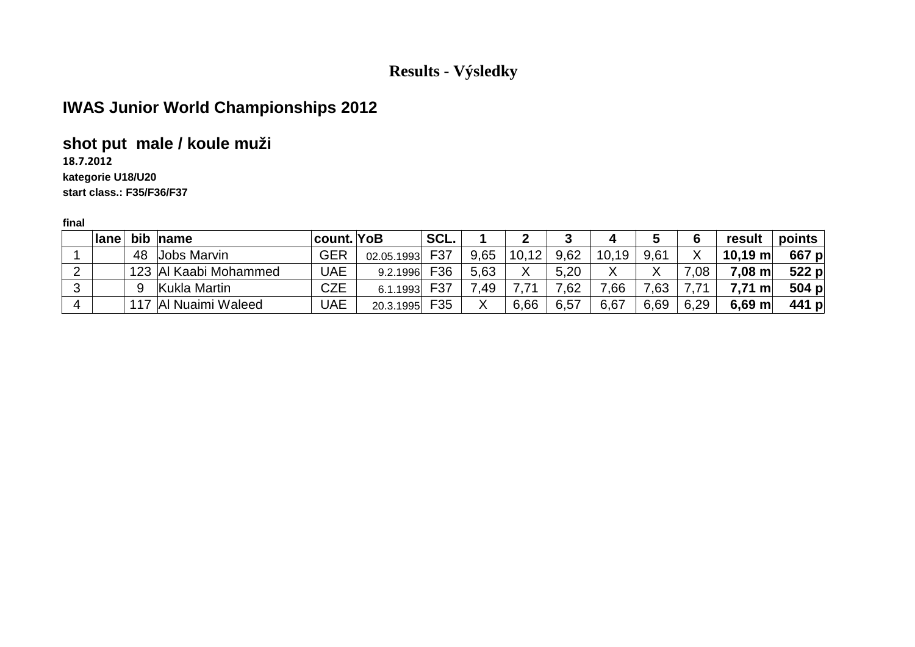# **IWAS Junior World Championships 2012**

## **shot put male / koule muži**

**18.7.2012**

#### **kategorie U18/U20**

**start class.: F35/F36/F37**

|   | lane |    | bib name              | count. YoB |            | SCL. |      |       |      | 4      |        |      | result             | points  |
|---|------|----|-----------------------|------------|------------|------|------|-------|------|--------|--------|------|--------------------|---------|
|   |      | 48 | Jobs Marvin           | <b>GER</b> | 02.05.1993 | F37  | 9,65 | 10,12 | 9,62 | 10, 19 | 9,61   |      | $10,19 \text{ m}$  | 667 p   |
|   |      |    | 123 Al Kaabi Mohammed | <b>UAE</b> | 9.2.1996   | F36  | 5,63 |       | 5,20 |        | v<br>Λ | 0.5  | $7,08 \, \text{m}$ | $522$ p |
| 3 |      | 9  | Kukla Martin          | <b>CZE</b> | 6.1.1993   | F37  | .49  |       | .62  | .66    | .63    |      | 7.71 m             | 504 p   |
| 4 |      |    | Al Nuaimi Waleed      | UAE        | 20.3.1995  | F35  |      | 6,66  | 6,57 | 6,67   | 6,69   | 6,29 | $6,69$ m           | 441 p   |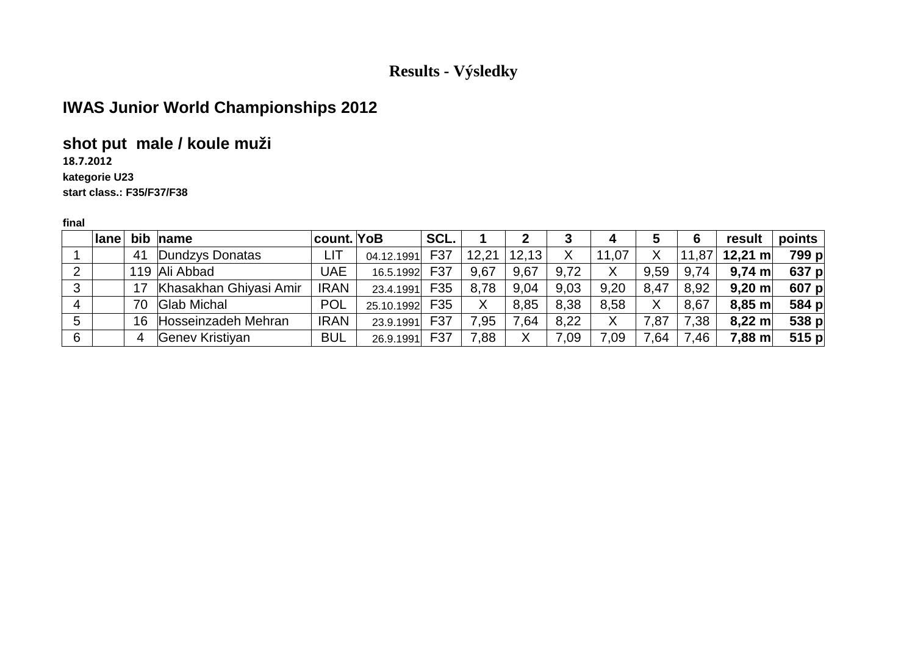# **IWAS Junior World Championships 2012**

## **shot put male / koule muži**

**18.7.2012**

#### **kategorie U23**

**start class.: F35/F37/F38**

|   | $ $ lane |    | bib name               | count. YoB  |            | SCL. |       |       |      | 4     | 5    | 6     | result             | points  |
|---|----------|----|------------------------|-------------|------------|------|-------|-------|------|-------|------|-------|--------------------|---------|
|   |          | 41 | Dundzys Donatas        | LIT         | 04.12.1991 | F37  | 12,21 | 12,13 |      | 11,07 | Χ    | 11,87 | 12,21 m            | 799 p   |
|   |          |    | 119 Ali Abbad          | UAE         | 16.5.1992  | F37  | 9,67  | 9.67  | 9,72 | X     | 9,59 | 9,74  | $9,74 \; \text{m}$ | 637 p   |
| 3 |          | 17 | Khasakhan Ghiyasi Amir | <b>IRAN</b> | 23.4.1991  | F35  | 8,78  | 9,04  | 9,03 | 9,20  | 8,47 | 8,92  | $9,20 \text{ m}$   | 607 p   |
| 4 |          | 70 | <b>Glab Michal</b>     | <b>POL</b>  | 25.10.1992 | F35  | Χ     | 8,85  | 8.38 | 8.58  | Χ    | 8,67  | $8,85$ m           | 584 p   |
| 5 |          | 16 | Hosseinzadeh Mehran    | <b>IRAN</b> | 23.9.1991  | F37  | 7,95  | 7.64  | 8,22 | Χ     | 7,87 | 7,38  | $8,22 \text{ m}$   | 538 p   |
| 6 |          | 4  | Genev Kristiyan        | <b>BUL</b>  | 26.9.1991  | F37  | 7,88  |       | 0.09 | 7,09  | 7,64 | 7,46  | $7,88 \text{ m}$   | $515$ p |